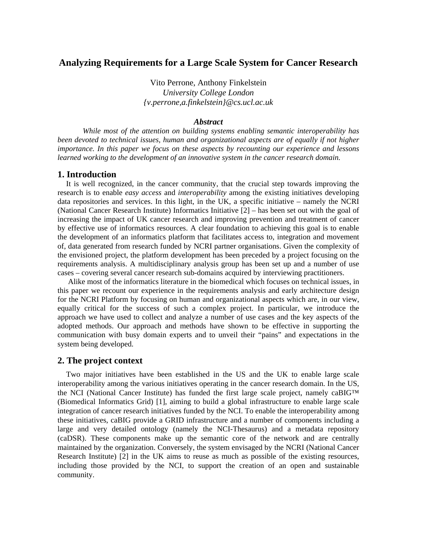# **Analyzing Requirements for a Large Scale System for Cancer Research**

Vito Perrone, Anthony Finkelstein *University College London {v.perrone,a.finkelstein}@cs.ucl.ac.uk*

#### *Abstract*

*While most of the attention on building systems enabling semantic interoperability has been devoted to technical issues, human and organizational aspects are of equally if not higher importance. In this paper we focus on these aspects by recounting our experience and lessons learned working to the development of an innovative system in the cancer research domain.* 

## **1. Introduction**

It is well recognized, in the cancer community, that the crucial step towards improving the research is to enable *easy access* and *interoperability* among the existing initiatives developing data repositories and services. In this light, in the UK, a specific initiative – namely the NCRI (National Cancer Research Institute) Informatics Initiative [2] – has been set out with the goal of increasing the impact of UK cancer research and improving prevention and treatment of cancer by effective use of informatics resources. A clear foundation to achieving this goal is to enable the development of an informatics platform that facilitates access to, integration and movement of, data generated from research funded by NCRI partner organisations. Given the complexity of the envisioned project, the platform development has been preceded by a project focusing on the requirements analysis. A multidisciplinary analysis group has been set up and a number of use cases – covering several cancer research sub-domains acquired by interviewing practitioners.

 Alike most of the informatics literature in the biomedical which focuses on technical issues, in this paper we recount our experience in the requirements analysis and early architecture design for the NCRI Platform by focusing on human and organizational aspects which are, in our view, equally critical for the success of such a complex project. In particular, we introduce the approach we have used to collect and analyze a number of use cases and the key aspects of the adopted methods. Our approach and methods have shown to be effective in supporting the communication with busy domain experts and to unveil their "pains" and expectations in the system being developed.

## **2. The project context**

Two major initiatives have been established in the US and the UK to enable large scale interoperability among the various initiatives operating in the cancer research domain. In the US, the NCI (National Cancer Institute) has funded the first large scale project, namely caBIG™ (Biomedical Informatics Grid) [1], aiming to build a global infrastructure to enable large scale integration of cancer research initiatives funded by the NCI. To enable the interoperability among these initiatives, caBIG provide a GRID infrastructure and a number of components including a large and very detailed ontology (namely the NCI-Thesaurus) and a metadata repository (caDSR). These components make up the semantic core of the network and are centrally maintained by the organization. Conversely, the system envisaged by the NCRI (National Cancer Research Institute) [2] in the UK aims to reuse as much as possible of the existing resources, including those provided by the NCI, to support the creation of an open and sustainable community.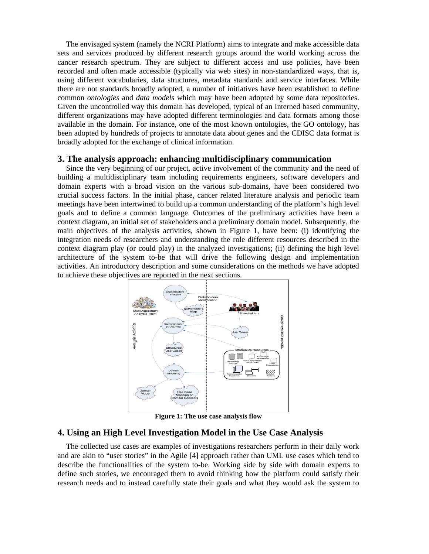The envisaged system (namely the NCRI Platform) aims to integrate and make accessible data sets and services produced by different research groups around the world working across the cancer research spectrum. They are subject to different access and use policies, have been recorded and often made accessible (typically via web sites) in non-standardized ways, that is, using different vocabularies, data structures, metadata standards and service interfaces. While there are not standards broadly adopted, a number of initiatives have been established to define common *ontologies* and *data models* which may have been adopted by some data repositories. Given the uncontrolled way this domain has developed, typical of an Interned based community, different organizations may have adopted different terminologies and data formats among those available in the domain. For instance, one of the most known ontologies, the GO ontology, has been adopted by hundreds of projects to annotate data about genes and the CDISC data format is broadly adopted for the exchange of clinical information.

## **3. The analysis approach: enhancing multidisciplinary communication**

Since the very beginning of our project, active involvement of the community and the need of building a multidisciplinary team including requirements engineers, software developers and domain experts with a broad vision on the various sub-domains, have been considered two crucial success factors. In the initial phase, cancer related literature analysis and periodic team meetings have been intertwined to build up a common understanding of the platform's high level goals and to define a common language. Outcomes of the preliminary activities have been a context diagram, an initial set of stakeholders and a preliminary domain model. Subsequently, the main objectives of the analysis activities, shown in Figure 1, have been: (i) identifying the integration needs of researchers and understanding the role different resources described in the context diagram play (or could play) in the analyzed investigations; (ii) defining the high level architecture of the system to-be that will drive the following design and implementation activities. An introductory description and some considerations on the methods we have adopted to achieve these objectives are reported in the next sections.



**Figure 1: The use case analysis flow** 

## **4. Using an High Level Investigation Model in the Use Case Analysis**

The collected use cases are examples of investigations researchers perform in their daily work and are akin to "user stories" in the Agile [4] approach rather than UML use cases which tend to describe the functionalities of the system to-be. Working side by side with domain experts to define such stories, we encouraged them to avoid thinking how the platform could satisfy their research needs and to instead carefully state their goals and what they would ask the system to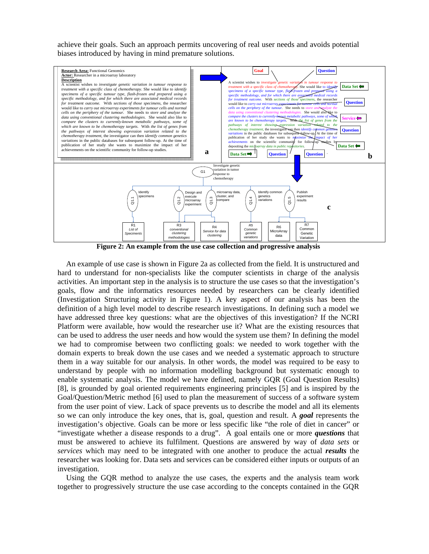achieve their goals. Such an approach permits uncovering of real user needs and avoids potential biases introduced by having in mind premature solutions.



**Figure 2: An example from the use case collection and progressive analysis** 

An example of use case is shown in Figure 2a as collected from the field. It is unstructured and hard to understand for non-specialists like the computer scientists in charge of the analysis activities. An important step in the analysis is to structure the use cases so that the investigation's goals, flow and the informatics resources needed by researchers can be clearly identified (Investigation Structuring activity in Figure 1). A key aspect of our analysis has been the definition of a high level model to describe research investigations. In defining such a model we have addressed three key questions: what are the objectives of this investigation? If the NCRI Platform were available, how would the researcher use it? What are the existing resources that can be used to address the user needs and how would the system use them? In defining the model we had to compromise between two conflicting goals: we needed to work together with the domain experts to break down the use cases and we needed a systematic approach to structure them in a way suitable for our analysis. In other words, the model was required to be easy to understand by people with no information modelling background but systematic enough to enable systematic analysis. The model we have defined, namely GQR (Goal Question Results) [8], is grounded by goal oriented requirements engineering principles [5] and is inspired by the Goal/Question/Metric method [6] used to plan the measurement of success of a software system from the user point of view. Lack of space prevents us to describe the model and all its elements so we can only introduce the key ones, that is, goal, question and result. A *goal* represents the investigation's objective. Goals can be more or less specific like "the role of diet in cancer" or "investigate whether a disease responds to a drug". A goal entails one or more *questions* that must be answered to achieve its fulfilment. Questions are answered by way of *data sets* or *services* which may need to be integrated with one another to produce the actual *results* the researcher was looking for. Data sets and services can be considered either inputs or outputs of an investigation.

Using the GQR method to analyze the use cases, the experts and the analysis team work together to progressively structure the use case according to the concepts contained in the GQR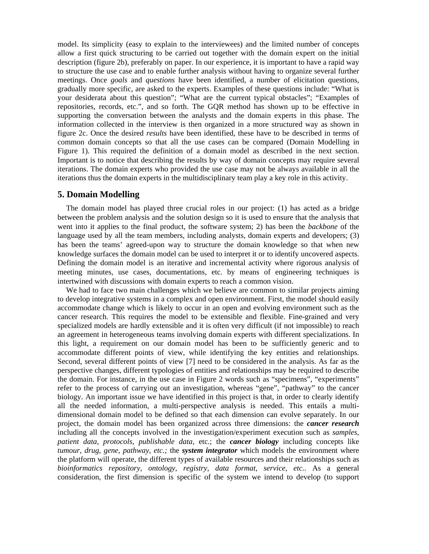model. Its simplicity (easy to explain to the interviewees) and the limited number of concepts allow a first quick structuring to be carried out together with the domain expert on the initial description (figure 2b), preferably on paper. In our experience, it is important to have a rapid way to structure the use case and to enable further analysis without having to organize several further meetings. Once *goals* and *questions* have been identified, a number of elicitation questions, gradually more specific, are asked to the experts. Examples of these questions include: "What is your desiderata about this question"; "What are the current typical obstacles"; "Examples of repositories, records, etc.", and so forth. The GQR method has shown up to be effective in supporting the conversation between the analysts and the domain experts in this phase. The information collected in the interview is then organized in a more structured way as shown in figure 2c. Once the desired *results* have been identified, these have to be described in terms of common domain concepts so that all the use cases can be compared (Domain Modelling in Figure 1). This required the definition of a domain model as described in the next section. Important is to notice that describing the results by way of domain concepts may require several iterations. The domain experts who provided the use case may not be always available in all the iterations thus the domain experts in the multidisciplinary team play a key role in this activity.

## **5. Domain Modelling**

The domain model has played three crucial roles in our project: (1) has acted as a bridge between the problem analysis and the solution design so it is used to ensure that the analysis that went into it applies to the final product, the software system; 2) has been the *backbone* of the language used by all the team members, including analysts, domain experts and developers; (3) has been the teams' agreed-upon way to structure the domain knowledge so that when new knowledge surfaces the domain model can be used to interpret it or to identify uncovered aspects. Defining the domain model is an iterative and incremental activity where rigorous analysis of meeting minutes, use cases, documentations, etc. by means of engineering techniques is intertwined with discussions with domain experts to reach a common vision.

We had to face two main challenges which we believe are common to similar projects aiming to develop integrative systems in a complex and open environment. First, the model should easily accommodate change which is likely to occur in an open and evolving environment such as the cancer research. This requires the model to be extensible and flexible. Fine-grained and very specialized models are hardly extensible and it is often very difficult (if not impossible) to reach an agreement in heterogeneous teams involving domain experts with different specializations. In this light, a requirement on our domain model has been to be sufficiently generic and to accommodate different points of view, while identifying the key entities and relationships. Second, several different points of view [7] need to be considered in the analysis. As far as the perspective changes, different typologies of entities and relationships may be required to describe the domain. For instance, in the use case in Figure 2 words such as "specimens", "experiments" refer to the process of carrying out an investigation, whereas "gene", "pathway" to the cancer biology. An important issue we have identified in this project is that, in order to clearly identify all the needed information, a multi-perspective analysis is needed. This entails a multidimensional domain model to be defined so that each dimension can evolve separately. In our project, the domain model has been organized across three dimensions: the *cancer research*  including all the concepts involved in the investigation/experiment execution such as *samples, patient data, protocols, publishable data,* etc.; the *cancer biology* including concepts like *tumour*, *drug*, *gene*, *pathway*, *etc.;* the *system integrator* which models the environment where the platform will operate, the different types of available resources and their relationships such as *bioinformatics repository, ontology, registry, data format, service, etc.*. As a general consideration, the first dimension is specific of the system we intend to develop (to support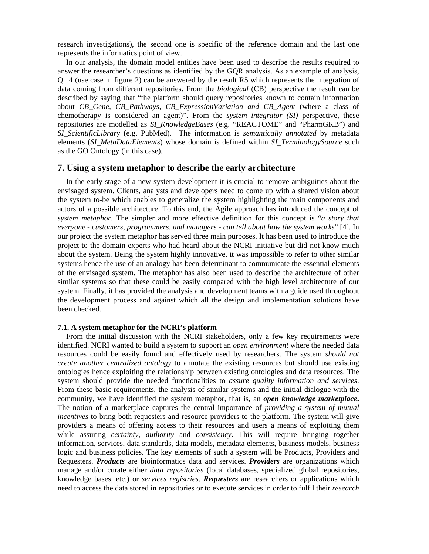research investigations), the second one is specific of the reference domain and the last one represents the informatics point of view.

In our analysis, the domain model entities have been used to describe the results required to answer the researcher's questions as identified by the GQR analysis. As an example of analysis, Q1.4 (use case in figure 2) can be answered by the result R5 which represents the integration of data coming from different repositories. From the *biological* (CB) perspective the result can be described by saying that "the platform should query repositories known to contain information about *CB\_Gene, CB\_Pathways, CB\_ExpressionVariation and CB\_Agent* (where a class of chemotherapy is considered an agent)". From the *system integrator (SI)* perspective*,* these repositories are modelled as *SI\_KnowledgeBases* (e.g. "REACTOME" and "PharmGKB") and *SI\_ScientificLibrary* (e.g. PubMed)*.* The information is *semantically annotated* by metadata elements (*SI\_MetaDataElements*) whose domain is defined within *SI\_TerminologySource* such as the GO Ontology (in this case).

#### **7. Using a system metaphor to describe the early architecture**

In the early stage of a new system development it is crucial to remove ambiguities about the envisaged system. Clients, analysts and developers need to come up with a shared vision about the system to-be which enables to generalize the system highlighting the main components and actors of a possible architecture. To this end, the Agile approach has introduced the concept of *system metaphor*. The simpler and more effective definition for this concept is "*a story that everyone - customers, programmers, and managers - can tell about how the system works*" [4]. In our project the system metaphor has served three main purposes. It has been used to introduce the project to the domain experts who had heard about the NCRI initiative but did not know much about the system. Being the system highly innovative, it was impossible to refer to other similar systems hence the use of an analogy has been determinant to communicate the essential elements of the envisaged system. The metaphor has also been used to describe the architecture of other similar systems so that these could be easily compared with the high level architecture of our system. Finally, it has provided the analysis and development teams with a guide used throughout the development process and against which all the design and implementation solutions have been checked.

#### **7.1. A system metaphor for the NCRI's platform**

From the initial discussion with the NCRI stakeholders, only a few key requirements were identified. NCRI wanted to build a system to support an *open environment* where the needed data resources could be easily found and effectively used by researchers. The system *should not create another centralized ontology* to annotate the existing resources but should use existing ontologies hence exploiting the relationship between existing ontologies and data resources. The system should provide the needed functionalities to *assure quality information and services*. From these basic requirements, the analysis of similar systems and the initial dialogue with the community, we have identified the system metaphor, that is, an *open knowledge marketplace***.**  The notion of a marketplace captures the central importance of *providing a system of mutual incentives* to bring both requesters and resource providers to the platform. The system will give providers a means of offering access to their resources and users a means of exploiting them while assuring *certainty*, *authority* and *consistency***.** This will require bringing together information, services, data standards, data models, metadata elements, business models, business logic and business policies. The key elements of such a system will be Products, Providers and Requesters. *Products* are bioinformatics data and services. *Providers* are organizations which manage and/or curate either *data repositories* (local databases, specialized global repositories, knowledge bases, etc.) or *services registries*. *Requesters* are researchers or applications which need to access the data stored in repositories or to execute services in order to fulfil their *research*